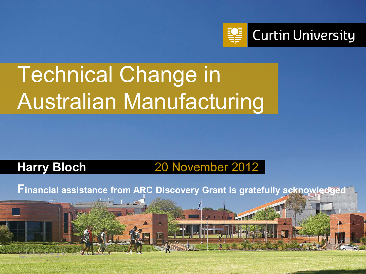

# Technical Change in Australian Manufacturing

#### **Harry Bloch** 20 November 2012

Curtin University is a trademark of Curtin University of Technology

CRICOS Provider Code 00301J

**Financial assistance from ARC Discovery Grant is gratefully acknowledged**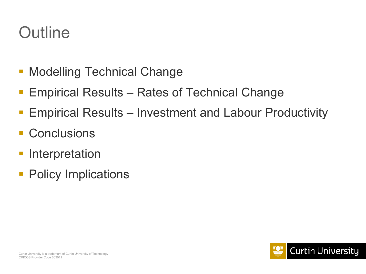#### **Outline**

- **Modelling Technical Change**
- Empirical Results Rates of Technical Change
- Empirical Results Investment and Labour Productivity
- **Conclusions**
- Interpretation
- Policy Implications

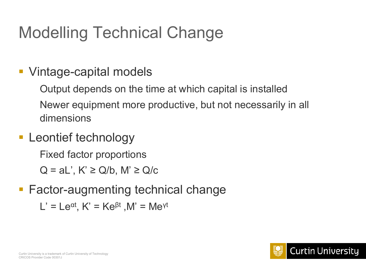# Modelling Technical Change

#### ■ Vintage-capital models

Output depends on the time at which capital is installed Newer equipment more productive, but not necessarily in all dimensions

**-** Leontief technology

Fixed factor proportions

 $Q = aL'$ ,  $K' \ge Q/b$ ,  $M' \ge Q/c$ 

■ Factor-augmenting technical change

L' = Le<sup>αt</sup>, K' = Ke<sup>βt</sup> ,M' = Me<sup>γt</sup>

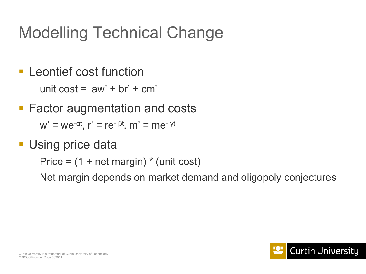# Modelling Technical Change

- **Leontief cost function** unit  $\cos t = aw' + br' + cm'$
- **Factor augmentation and costs**

 $w' = we^{-\alpha t}$ ,  $r' = re^{-\beta t}$ ,  $m' = me^{-\gamma t}$ 

**Using price data** 

Price  $=$  (1 + net margin)  $*$  (unit cost)

Net margin depends on market demand and oligopoly conjectures

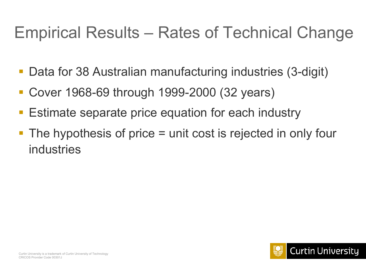#### Empirical Results – Rates of Technical Change

- Data for 38 Australian manufacturing industries (3-digit)
- Cover 1968-69 through 1999-2000 (32 years)
- Estimate separate price equation for each industry
- The hypothesis of price = unit cost is rejected in only four industries

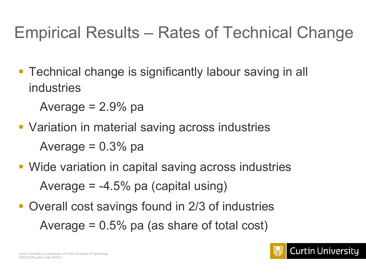### Empirical Results – Rates of Technical Change

**Technical change is significantly labour saving in all** industries

Average  $= 2.9\%$  pa

- **Variation in material saving across industries** Average  $= 0.3\%$  pa
- **Wide variation in capital saving across industries** Average  $=$  -4.5% pa (capital using)
- Overall cost savings found in 2/3 of industries Average  $= 0.5\%$  pa (as share of total cost)

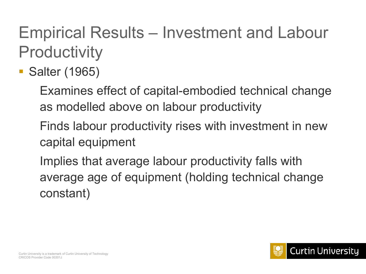# Empirical Results – Investment and Labour **Productivity**

Salter (1965)

Examines effect of capital-embodied technical change as modelled above on labour productivity

Finds labour productivity rises with investment in new capital equipment

Implies that average labour productivity falls with average age of equipment (holding technical change constant)

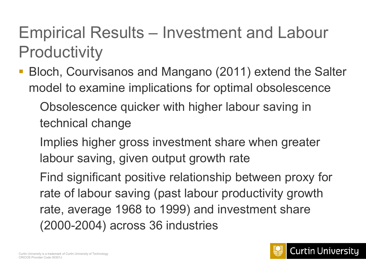#### Empirical Results – Investment and Labour **Productivity**

 Bloch, Courvisanos and Mangano (2011) extend the Salter model to examine implications for optimal obsolescence

Obsolescence quicker with higher labour saving in technical change

Implies higher gross investment share when greater labour saving, given output growth rate

Find significant positive relationship between proxy for rate of labour saving (past labour productivity growth rate, average 1968 to 1999) and investment share (2000-2004) across 36 industries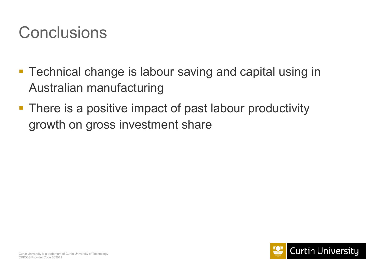#### **Conclusions**

- **Technical change is labour saving and capital using in** Australian manufacturing
- **There is a positive impact of past labour productivity** growth on gross investment share

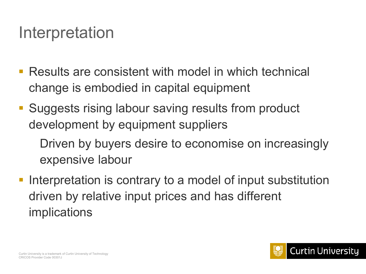#### Interpretation

- Results are consistent with model in which technical change is embodied in capital equipment
- **Suggests rising labour saving results from product** development by equipment suppliers

Driven by buyers desire to economise on increasingly expensive labour

**Interpretation is contrary to a model of input substitution** driven by relative input prices and has different implications

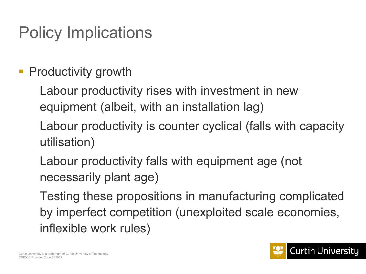# Policy Implications

#### **• Productivity growth**

Labour productivity rises with investment in new equipment (albeit, with an installation lag)

Labour productivity is counter cyclical (falls with capacity utilisation)

Labour productivity falls with equipment age (not necessarily plant age)

Testing these propositions in manufacturing complicated by imperfect competition (unexploited scale economies, inflexible work rules)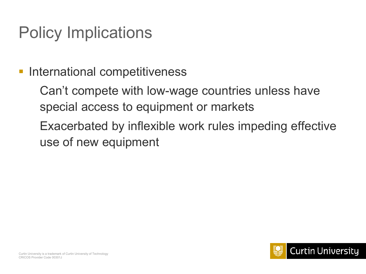### Policy Implications

#### **International competitiveness**

Can't compete with low-wage countries unless have special access to equipment or markets

Exacerbated by inflexible work rules impeding effective use of new equipment

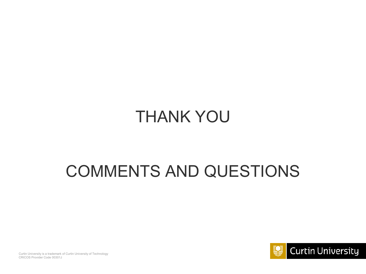#### THANK YOU

#### COMMENTS AND QUESTIONS



Curtin University is a trademark of Curtin University of Technology CRICOS Provider Code 00301J